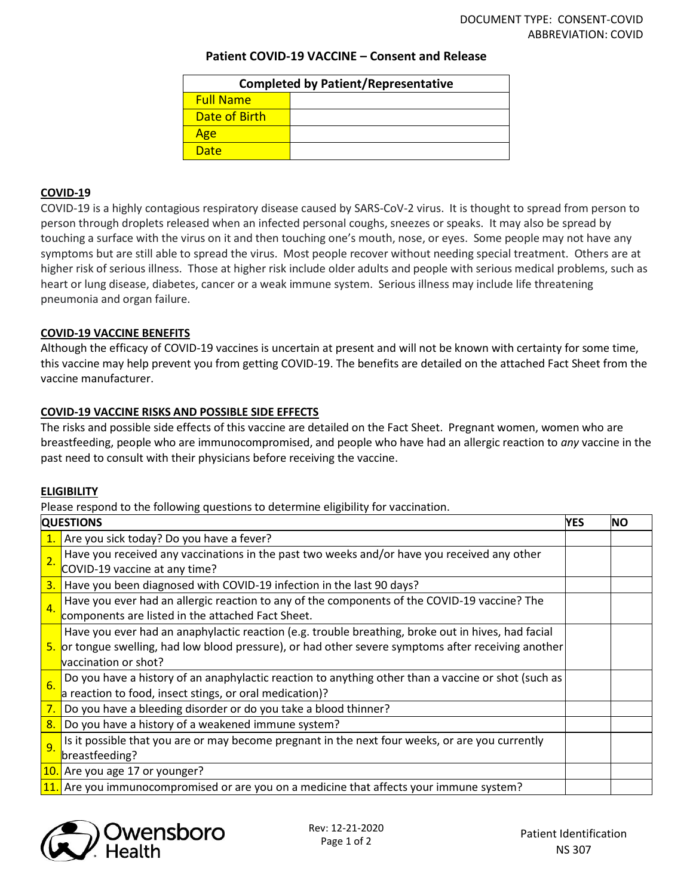# **Patient COVID-19 VACCINE – Consent and Release**

| <b>Completed by Patient/Representative</b> |  |  |  |  |  |
|--------------------------------------------|--|--|--|--|--|
| <b>Full Name</b>                           |  |  |  |  |  |
| Date of Birth                              |  |  |  |  |  |
| Age                                        |  |  |  |  |  |
| Date                                       |  |  |  |  |  |

# **COVID-19**

COVID-19 is a highly contagious respiratory disease caused by SARS-CoV-2 virus. It is thought to spread from person to person through droplets released when an infected personal coughs, sneezes or speaks. It may also be spread by touching a surface with the virus on it and then touching one's mouth, nose, or eyes. Some people may not have any symptoms but are still able to spread the virus. Most people recover without needing special treatment. Others are at higher risk of serious illness. Those at higher risk include older adults and people with serious medical problems, such as heart or lung disease, diabetes, cancer or a weak immune system. Serious illness may include life threatening pneumonia and organ failure.

# **COVID-19 VACCINE BENEFITS**

Although the efficacy of COVID-19 vaccines is uncertain at present and will not be known with certainty for some time, this vaccine may help prevent you from getting COVID-19. The benefits are detailed on the attached Fact Sheet from the vaccine manufacturer.

### **COVID-19 VACCINE RISKS AND POSSIBLE SIDE EFFECTS**

The risks and possible side effects of this vaccine are detailed on the Fact Sheet. Pregnant women, women who are breastfeeding, people who are immunocompromised, and people who have had an allergic reaction to *any* vaccine in the past need to consult with their physicians before receiving the vaccine.

# **ELIGIBILITY**

Please respond to the following questions to determine eligibility for vaccination.

| <b>QUESTIONS</b> |                                                                                                      | <b>YES</b> | <b>NO</b> |
|------------------|------------------------------------------------------------------------------------------------------|------------|-----------|
|                  | $\vert$ 2. Are you sick today? Do you have a fever?                                                  |            |           |
| $\overline{2}$ . | Have you received any vaccinations in the past two weeks and/or have you received any other          |            |           |
|                  | COVID-19 vaccine at any time?                                                                        |            |           |
| 3.               | Have you been diagnosed with COVID-19 infection in the last 90 days?                                 |            |           |
| 4.               | Have you ever had an allergic reaction to any of the components of the COVID-19 vaccine? The         |            |           |
|                  | components are listed in the attached Fact Sheet.                                                    |            |           |
|                  | Have you ever had an anaphylactic reaction (e.g. trouble breathing, broke out in hives, had facial   |            |           |
|                  | 5. or tongue swelling, had low blood pressure), or had other severe symptoms after receiving another |            |           |
|                  | vaccination or shot?                                                                                 |            |           |
| 6.               | Do you have a history of an anaphylactic reaction to anything other than a vaccine or shot (such as  |            |           |
|                  | a reaction to food, insect stings, or oral medication)?                                              |            |           |
| 7.               | Do you have a bleeding disorder or do you take a blood thinner?                                      |            |           |
| 8.               | Do you have a history of a weakened immune system?                                                   |            |           |
| 9 <sub>o</sub>   | Is it possible that you are or may become pregnant in the next four weeks, or are you currently      |            |           |
|                  | breastfeeding?                                                                                       |            |           |
|                  | 10. Are you age 17 or younger?                                                                       |            |           |
|                  | 11. Are you immunocompromised or are you on a medicine that affects your immune system?              |            |           |